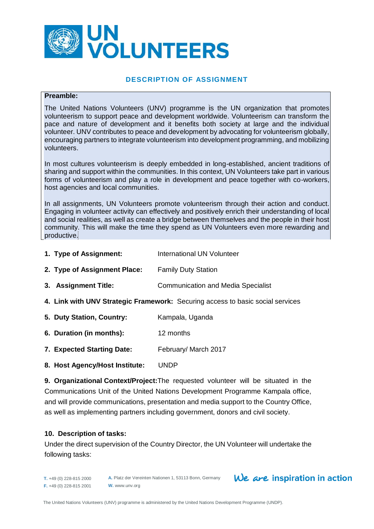

#### **DESCRIPTION OF ASSIGNMENT**

#### **Preamble:**

The United Nations Volunteers (UNV) programme is the UN organization that promotes volunteerism to support peace and development worldwide. Volunteerism can transform the pace and nature of development and it benefits both society at large and the individual volunteer. UNV contributes to peace and development by advocating for volunteerism globally, encouraging partners to integrate volunteerism into development programming, and mobilizing volunteers.

In most cultures volunteerism is deeply embedded in long-established, ancient traditions of sharing and support within the communities. In this context, UN Volunteers take part in various forms of volunteerism and play a role in development and peace together with co-workers, host agencies and local communities.

In all assignments, UN Volunteers promote volunteerism through their action and conduct. Engaging in volunteer activity can effectively and positively enrich their understanding of local and social realities, as well as create a bridge between themselves and the people in their host community. This will make the time they spend as UN Volunteers even more rewarding and productive.

- **1. Type of Assignment:** International UN Volunteer
- **2. Type of Assignment Place:** Family Duty Station
- **3. Assignment Title:** Communication and Media Specialist
- **4. Link with UNV Strategic Framework:** Securing access to basic social services
- **5. Duty Station, Country:** Kampala, Uganda
- **6. Duration (in months):** 12 months
- **7. Expected Starting Date:** February/ March 2017
- **8. Host Agency/Host Institute:** UNDP

**9. Organizational Context/Project:**The requested volunteer will be situated in the Communications Unit of the United Nations Development Programme Kampala office, and will provide communications, presentation and media support to the Country Office, as well as implementing partners including government, donors and civil society.

#### **10. Description of tasks:**

Under the direct supervision of the Country Director, the UN Volunteer will undertake the following tasks:

#### **T.** +49 (0) 228-815 2000 **F.** +49 (0) 228-815 2001

**A.** Platz der Vereinten Nationen 1, 53113 Bonn, Germany **W.** www.unv.org

# We are inspiration in action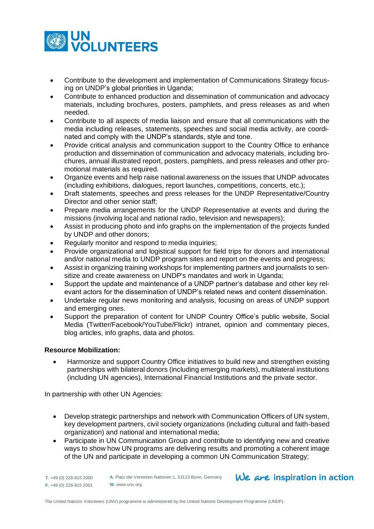

- Contribute to the development and implementation of Communications Strategy focusing on UNDP's global priorities in Uganda;
- Contribute to enhanced production and dissemination of communication and advocacy materials, including brochures, posters, pamphlets, and press releases as and when needed.
- Contribute to all aspects of media liaison and ensure that all communications with the media including releases, statements, speeches and social media activity, are coordinated and comply with the UNDP's standards, style and tone.
- Provide critical analysis and communication support to the Country Office to enhance production and dissemination of communication and advocacy materials, including brochures, annual illustrated report, posters, pamphlets, and press releases and other promotional materials as required.
- Organize events and help raise national awareness on the issues that UNDP advocates (including exhibitions, dialogues, report launches, competitions, concerts, etc.);
- Draft statements, speeches and press releases for the UNDP Representative/Country Director and other senior staff;
- Prepare media arrangements for the UNDP Representative at events and during the missions (involving local and national radio, television and newspapers);
- Assist in producing photo and info graphs on the implementation of the projects funded by UNDP and other donors;
- Regularly monitor and respond to media inquiries;
- Provide organizational and logistical support for field trips for donors and international and/or national media to UNDP program sites and report on the events and progress;
- Assist in organizing training workshops for implementing partners and journalists to sensitize and create awareness on UNDP's mandates and work in Uganda;
- Support the update and maintenance of a UNDP partner's database and other key relevant actors for the dissemination of UNDP's related news and content dissemination.
- Undertake regular news monitoring and analysis, focusing on areas of UNDP support and emerging ones.
- Support the preparation of content for UNDP Country Office's public website, Social Media (Twitter/Facebook/YouTube/Flickr) intranet, opinion and commentary pieces, blog articles, info graphs, data and photos.

## **Resource Mobilization:**

 Harmonize and support Country Office initiatives to build new and strengthen existing partnerships with bilateral donors (including emerging markets), multilateral institutions (including UN agencies), International Financial Institutions and the private sector.

In partnership with other UN Agencies:

- Develop strategic partnerships and network with Communication Officers of UN system, key development partners, civil society organizations (including cultural and faith-based organization) and national and international media;
- Participate in UN Communication Group and contribute to identifying new and creative ways to show how UN programs are delivering results and promoting a coherent image of the UN and participate in developing a common UN Communication Strategy;

**T.** +49 (0) 228-815 2000 **F.** +49 (0) 228-815 2001

**A.** Platz der Vereinten Nationen 1, 53113 Bonn, Germany **W.** www.unv.org

## $We$  are inspiration in action

The United Nations Volunteers (UNV) programme is administered by the United Nations Development Programme (UNDP).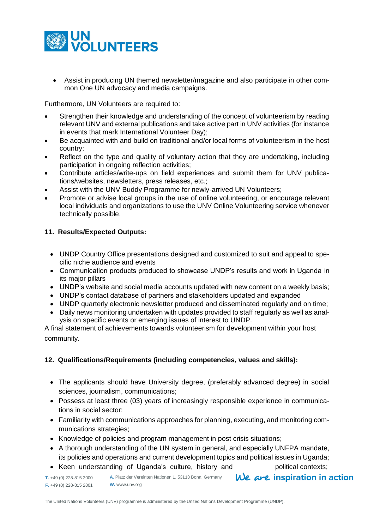

 Assist in producing UN themed newsletter/magazine and also participate in other common One UN advocacy and media campaigns.

Furthermore, UN Volunteers are required to:

- Strengthen their knowledge and understanding of the concept of volunteerism by reading relevant UNV and external publications and take active part in UNV activities (for instance in events that mark International Volunteer Day);
- Be acquainted with and build on traditional and/or local forms of volunteerism in the host country;
- Reflect on the type and quality of voluntary action that they are undertaking, including participation in ongoing reflection activities;
- Contribute articles/write-ups on field experiences and submit them for UNV publications/websites, newsletters, press releases, etc.;
- Assist with the UNV Buddy Programme for newly-arrived UN Volunteers;
- Promote or advise local groups in the use of online volunteering, or encourage relevant local individuals and organizations to use the UNV Online Volunteering service whenever technically possible.

## **11. Results/Expected Outputs:**

- UNDP Country Office presentations designed and customized to suit and appeal to specific niche audience and events
- Communication products produced to showcase UNDP's results and work in Uganda in its major pillars
- UNDP's website and social media accounts updated with new content on a weekly basis;
- UNDP's contact database of partners and stakeholders updated and expanded
- UNDP quarterly electronic newsletter produced and disseminated regularly and on time;
- Daily news monitoring undertaken with updates provided to staff regularly as well as analysis on specific events or emerging issues of interest to UNDP.

A final statement of achievements towards volunteerism for development within your host community.

## **12. Qualifications/Requirements (including competencies, values and skills):**

- The applicants should have University degree, (preferably advanced degree) in social sciences, journalism, communications;
- Possess at least three (03) years of increasingly responsible experience in communications in social sector;
- Familiarity with communications approaches for planning, executing, and monitoring communications strategies;
- Knowledge of policies and program management in post crisis situations;
- A thorough understanding of the UN system in general, and especially UNFPA mandate, its policies and operations and current development topics and political issues in Uganda;
- Keen understanding of Uganda's culture, history and political contexts;

We are inspiration in action **A.** Platz der Vereinten Nationen 1, 53113 Bonn, Germany **T.** +49 (0) 228-815 2000 **F.** +49 (0) 228-815 2001 **W.** www.unv.org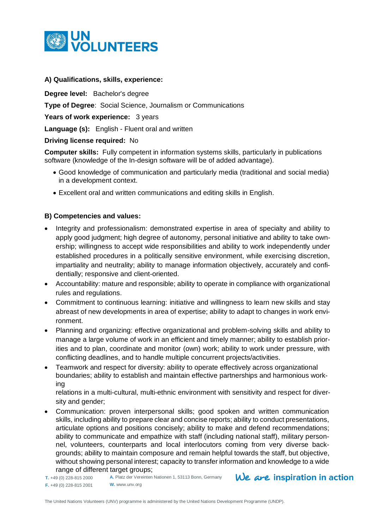

## **A) Qualifications, skills, experience:**

**Degree level:** Bachelor's degree

**Type of Degree**: Social Science, Journalism or Communications

Years of work experience: 3 years

**Language (s):** English - Fluent oral and written

## **Driving license required:** No

**Computer skills:** Fully competent in information systems skills, particularly in publications software (knowledge of the In-design software will be of added advantage).

- Good knowledge of communication and particularly media (traditional and social media) in a development context.
- Excellent oral and written communications and editing skills in English.

## **B) Competencies and values:**

- Integrity and professionalism: demonstrated expertise in area of specialty and ability to apply good judgment; high degree of autonomy, personal initiative and ability to take ownership; willingness to accept wide responsibilities and ability to work independently under established procedures in a politically sensitive environment, while exercising discretion, impartiality and neutrality; ability to manage information objectively, accurately and confidentially; responsive and client-oriented.
- Accountability: mature and responsible; ability to operate in compliance with organizational rules and regulations.
- Commitment to continuous learning: initiative and willingness to learn new skills and stay abreast of new developments in area of expertise; ability to adapt to changes in work environment.
- Planning and organizing: effective organizational and problem-solving skills and ability to manage a large volume of work in an efficient and timely manner; ability to establish priorities and to plan, coordinate and monitor (own) work; ability to work under pressure, with conflicting deadlines, and to handle multiple concurrent projects/activities.
- Teamwork and respect for diversity: ability to operate effectively across organizational boundaries; ability to establish and maintain effective partnerships and harmonious working

relations in a multi-cultural, multi-ethnic environment with sensitivity and respect for diversity and gender;

 Communication: proven interpersonal skills; good spoken and written communication skills, including ability to prepare clear and concise reports; ability to conduct presentations, articulate options and positions concisely; ability to make and defend recommendations; ability to communicate and empathize with staff (including national staff), military personnel, volunteers, counterparts and local interlocutors coming from very diverse backgrounds; ability to maintain composure and remain helpful towards the staff, but objective, without showing personal interest; capacity to transfer information and knowledge to a wide range of different target groups;

**T.** +49 (0) 228-815 2000 **F.** +49 (0) 228-815 2001 **W.** www.unv.org

**A.** Platz der Vereinten Nationen 1, 53113 Bonn, Germany

 $We$  are inspiration in action

The United Nations Volunteers (UNV) programme is administered by the United Nations Development Programme (UNDP).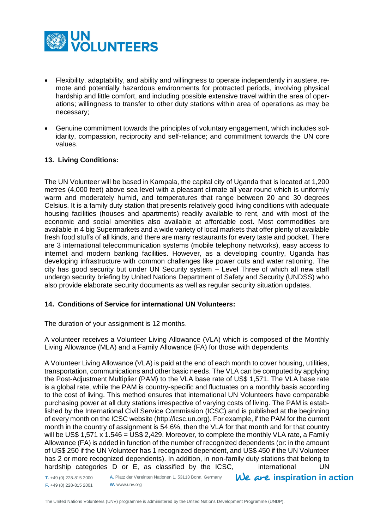

- Flexibility, adaptability, and ability and willingness to operate independently in austere, remote and potentially hazardous environments for protracted periods, involving physical hardship and little comfort, and including possible extensive travel within the area of operations; willingness to transfer to other duty stations within area of operations as may be necessary;
- Genuine commitment towards the principles of voluntary engagement, which includes solidarity, compassion, reciprocity and self-reliance; and commitment towards the UN core values.

## **13. Living Conditions:**

The UN Volunteer will be based in Kampala, the capital city of Uganda that is located at 1,200 metres (4,000 feet) above sea level with a pleasant climate all year round which is uniformly warm and moderately humid, and temperatures that range between 20 and 30 degrees Celsius. It is a family duty station that presents relatively good living conditions with adequate housing facilities (houses and apartments) readily available to rent, and with most of the economic and social amenities also available at affordable cost. Most commodities are available in 4 big Supermarkets and a wide variety of local markets that offer plenty of available fresh food stuffs of all kinds, and there are many restaurants for every taste and pocket. There are 3 international telecommunication systems (mobile telephony networks), easy access to internet and modern banking facilities. However, as a developing country, Uganda has developing infrastructure with common challenges like power cuts and water rationing. The city has good security but under UN Security system – Level Three of which all new staff undergo security briefing by United Nations Department of Safety and Security (UNDSS) who also provide elaborate security documents as well as regular security situation updates.

## **14. Conditions of Service for international UN Volunteers:**

The duration of your assignment is 12 months.

A volunteer receives a Volunteer Living Allowance (VLA) which is composed of the Monthly Living Allowance (MLA) and a Family Allowance (FA) for those with dependents.

A Volunteer Living Allowance (VLA) is paid at the end of each month to cover housing, utilities, transportation, communications and other basic needs. The VLA can be computed by applying the Post-Adjustment Multiplier (PAM) to the VLA base rate of US\$ 1,571. The VLA base rate is a global rate, while the PAM is country-specific and fluctuates on a monthly basis according to the cost of living. This method ensures that international UN Volunteers have comparable purchasing power at all duty stations irrespective of varying costs of living. The PAM is established by the International Civil Service Commission (ICSC) and is published at the beginning of every month on the ICSC website [\(http://icsc.un.org\)](http://icsc.un.org/). For example, if the PAM for the current month in the country of assignment is 54.6%, then the VLA for that month and for that country will be US\$ 1,571 x 1.546 = US\$ 2,429. Moreover, to complete the monthly VLA rate, a Family Allowance (FA) is added in function of the number of recognized dependents (or: in the amount of US\$ 250 if the UN Volunteer has 1 recognized dependent, and US\$ 450 if the UN Volunteer has 2 or more recognized dependents). In addition, in non-family duty stations that belong to hardship categories D or E, as classified by the ICSC, international UN